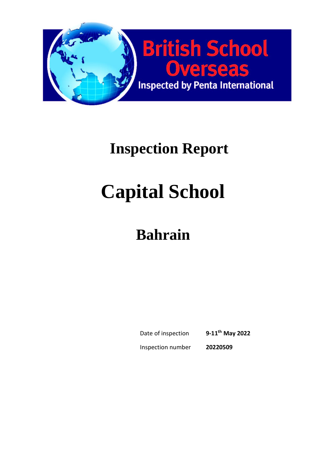

## **Inspection Report**

# **Capital School**

## **Bahrain**

Date of inspection **9-11th May 2022** Inspection number **20220509**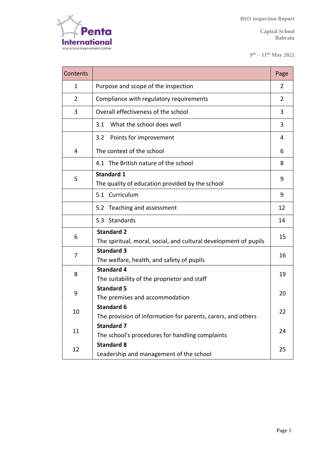

**9 th – 11th May 2022** 

| Contents       |                                                                                       | Page |  |  |
|----------------|---------------------------------------------------------------------------------------|------|--|--|
| 1              | Purpose and scope of the inspection                                                   |      |  |  |
| $\overline{2}$ | Compliance with regulatory requirements                                               |      |  |  |
| 3              | Overall effectiveness of the school                                                   |      |  |  |
|                | What the school does well<br>3.1                                                      | 3    |  |  |
|                | Points for improvement<br>3.2                                                         | 4    |  |  |
| 4              | The context of the school                                                             | 6    |  |  |
|                | 4.1 The British nature of the school                                                  | 8    |  |  |
| 5              | <b>Standard 1</b><br>The quality of education provided by the school                  |      |  |  |
|                | 5.1 Curriculum                                                                        | 9    |  |  |
|                | 5.2 Teaching and assessment                                                           | 12   |  |  |
|                | 5.3 Standards                                                                         | 14   |  |  |
| 6              | <b>Standard 2</b><br>The spiritual, moral, social, and cultural development of pupils |      |  |  |
| 7              | <b>Standard 3</b><br>The welfare, health, and safety of pupils                        |      |  |  |
| 8              | <b>Standard 4</b><br>The suitability of the proprietor and staff                      |      |  |  |
| 9              | <b>Standard 5</b><br>The premises and accommodation                                   |      |  |  |
| 10             | <b>Standard 6</b><br>The provision of information for parents, carers, and others     |      |  |  |
| 11             | <b>Standard 7</b><br>The school's procedures for handling complaints                  |      |  |  |
| 12             | <b>Standard 8</b><br>Leadership and management of the school                          | 25   |  |  |

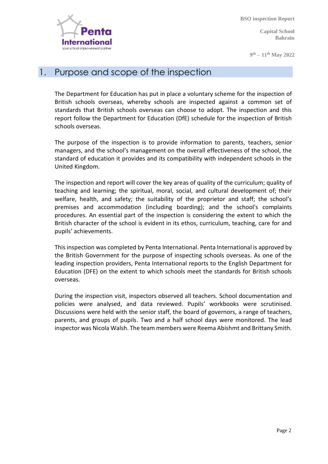

**Capital School Bahrain** 

**9 th – 11th May 2022** 

#### 1. Purpose and scope of the inspection

The Department for Education has put in place a voluntary scheme for the inspection of British schools overseas, whereby schools are inspected against a common set of standards that British schools overseas can choose to adopt. The inspection and this report follow the Department for Education (DfE) schedule for the inspection of British schools overseas.

The purpose of the inspection is to provide information to parents, teachers, senior managers, and the school's management on the overall effectiveness of the school, the standard of education it provides and its compatibility with independent schools in the United Kingdom.

The inspection and report will cover the key areas of quality of the curriculum; quality of teaching and learning; the spiritual, moral, social, and cultural development of; their welfare, health, and safety; the suitability of the proprietor and staff; the school's premises and accommodation (including boarding); and the school's complaints procedures. An essential part of the inspection is considering the extent to which the British character of the school is evident in its ethos, curriculum, teaching, care for and pupils' achievements.

This inspection was completed by Penta International. Penta International is approved by the British Government for the purpose of inspecting schools overseas. As one of the leading inspection providers, Penta International reports to the English Department for Education (DFE) on the extent to which schools meet the standards for British schools overseas.

During the inspection visit, inspectors observed all teachers. School documentation and policies were analysed, and data reviewed. Pupils' workbooks were scrutinised. Discussions were held with the senior staff, the board of governors, a range of teachers, parents, and groups of pupils. Two and a half school days were monitored. The lead inspector was Nicola Walsh. The team members were Reema Abishmt and Brittany Smith.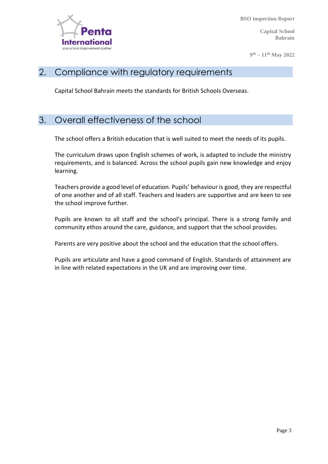

**Capital School Bahrain** 

**9 th – 11th May 2022** 

#### 2. Compliance with regulatory requirements

Capital School Bahrain meets the standards for British Schools Overseas.

#### 3. Overall effectiveness of the school

The school offers a British education that is well suited to meet the needs of its pupils.

The curriculum draws upon English schemes of work, is adapted to include the ministry requirements, and is balanced. Across the school pupils gain new knowledge and enjoy learning.

Teachers provide a good level of education. Pupils' behaviour is good, they are respectful of one another and of all staff. Teachers and leaders are supportive and are keen to see the school improve further.

Pupils are known to all staff and the school's principal. There is a strong family and community ethos around the care, guidance, and support that the school provides.

Parents are very positive about the school and the education that the school offers.

Pupils are articulate and have a good command of English. Standards of attainment are in line with related expectations in the UK and are improving over time.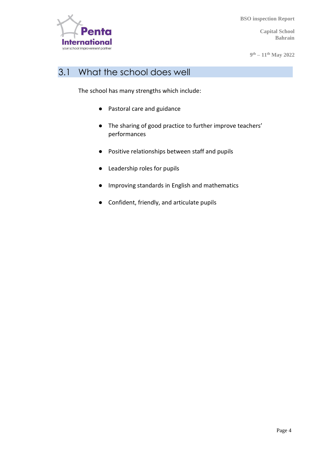

**Capital School Bahrain** 

**9 th – 11th May 2022** 

#### 3.1 What the school does well

The school has many strengths which include:

- Pastoral care and guidance
- The sharing of good practice to further improve teachers' performances
- Positive relationships between staff and pupils
- Leadership roles for pupils
- Improving standards in English and mathematics
- Confident, friendly, and articulate pupils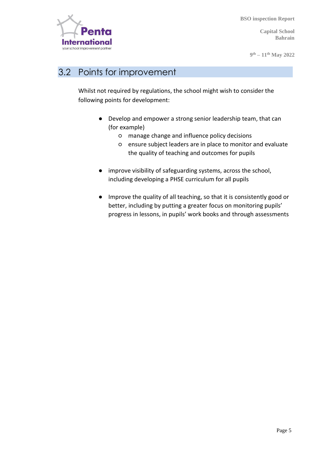

**Capital School Bahrain** 

**9 th – 11th May 2022** 

#### 3.2 Points for improvement

Whilst not required by regulations, the school might wish to consider the following points for development:

- Develop and empower a strong senior leadership team, that can (for example)
	- manage change and influence policy decisions
	- ensure subject leaders are in place to monitor and evaluate the quality of teaching and outcomes for pupils
- improve visibility of safeguarding systems, across the school, including developing a PHSE curriculum for all pupils
- Improve the quality of all teaching, so that it is consistently good or better, including by putting a greater focus on monitoring pupils' progress in lessons, in pupils' work books and through assessments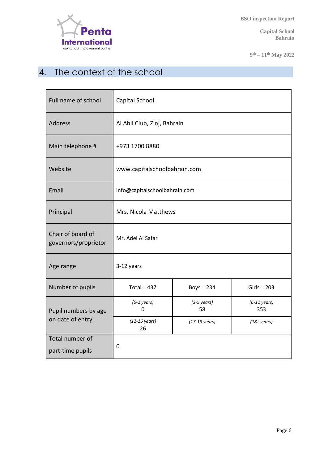

**Capital School Bahrain** 

**9 th – 11th May 2022** 

### 4. The context of the school

| Full name of school                       | Capital School                |                             |                               |  |
|-------------------------------------------|-------------------------------|-----------------------------|-------------------------------|--|
| <b>Address</b>                            | Al Ahli Club, Zinj, Bahrain   |                             |                               |  |
| Main telephone #                          | +973 1700 8880                |                             |                               |  |
| Website                                   | www.capitalschoolbahrain.com  |                             |                               |  |
| Email                                     | info@capitalschoolbahrain.com |                             |                               |  |
| Principal                                 | Mrs. Nicola Matthews          |                             |                               |  |
| Chair of board of<br>governors/proprietor | Mr. Adel Al Safar             |                             |                               |  |
| Age range                                 | 3-12 years                    |                             |                               |  |
| Number of pupils                          | Total = $437$                 | Boys = $234$                | $Girls = 203$                 |  |
| Pupil numbers by age                      | $(0-2 \text{ years})$<br>0    | $(3-5 \text{ years})$<br>58 | $(6-11 \text{ years})$<br>353 |  |
| on date of entry                          | $(12-16 \text{ years})$<br>26 | $(17-18 \text{ years})$     | $(18 + years)$                |  |
| Total number of<br>part-time pupils       | 0                             |                             |                               |  |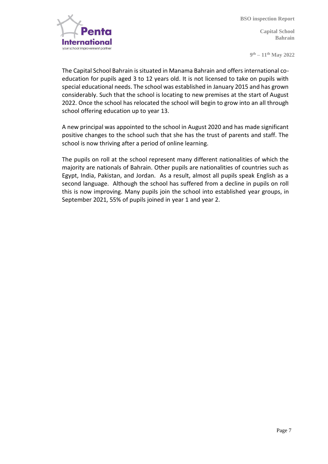

**Capital School Bahrain** 

**9 th – 11th May 2022** 

The Capital School Bahrain is situated in Manama Bahrain and offers international coeducation for pupils aged 3 to 12 years old. It is not licensed to take on pupils with special educational needs. The school was established in January 2015 and has grown considerably. Such that the school is locating to new premises at the start of August 2022. Once the school has relocated the school will begin to grow into an all through school offering education up to year 13.

A new principal was appointed to the school in August 2020 and has made significant positive changes to the school such that she has the trust of parents and staff. The school is now thriving after a period of online learning.

The pupils on roll at the school represent many different nationalities of which the majority are nationals of Bahrain. Other pupils are nationalities of countries such as Egypt, India, Pakistan, and Jordan. As a result, almost all pupils speak English as a second language. Although the school has suffered from a decline in pupils on roll this is now improving. Many pupils join the school into established year groups, in September 2021, 55% of pupils joined in year 1 and year 2.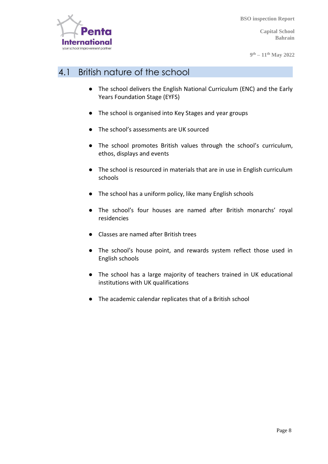

**Capital School Bahrain** 

**9 th – 11th May 2022** 

#### 4.1 British nature of the school

- The school delivers the English National Curriculum (ENC) and the Early Years Foundation Stage (EYFS)
- The school is organised into Key Stages and year groups
- The school's assessments are UK sourced
- The school promotes British values through the school's curriculum, ethos, displays and events
- The school is resourced in materials that are in use in English curriculum schools
- The school has a uniform policy, like many English schools
- The school's four houses are named after British monarchs' royal residencies
- Classes are named after British trees
- The school's house point, and rewards system reflect those used in English schools
- The school has a large majority of teachers trained in UK educational institutions with UK qualifications
- The academic calendar replicates that of a British school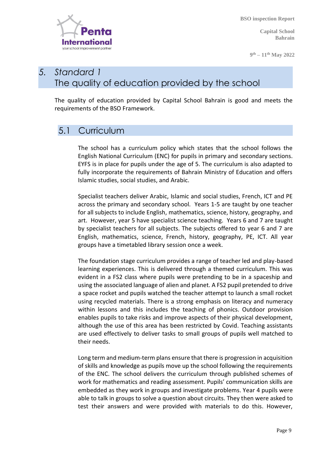**Capital School Bahrain** 

**9 th – 11th May 2022** 



#### *5. Standard 1* The quality of education provided by the school

The quality of education provided by Capital School Bahrain is good and meets the requirements of the BSO Framework.

#### 5.1 Curriculum

The school has a curriculum policy which states that the school follows the English National Curriculum (ENC) for pupils in primary and secondary sections. EYFS is in place for pupils under the age of 5. The curriculum is also adapted to fully incorporate the requirements of Bahrain Ministry of Education and offers Islamic studies, social studies, and Arabic.

Specialist teachers deliver Arabic, Islamic and social studies, French, ICT and PE across the primary and secondary school. Years 1-5 are taught by one teacher for all subjects to include English, mathematics, science, history, geography, and art. However, year 5 have specialist science teaching. Years 6 and 7 are taught by specialist teachers for all subjects. The subjects offered to year 6 and 7 are English, mathematics, science, French, history, geography, PE, ICT. All year groups have a timetabled library session once a week.

The foundation stage curriculum provides a range of teacher led and play-based learning experiences. This is delivered through a themed curriculum. This was evident in a FS2 class where pupils were pretending to be in a spaceship and using the associated language of alien and planet. A FS2 pupil pretended to drive a space rocket and pupils watched the teacher attempt to launch a small rocket using recycled materials. There is a strong emphasis on literacy and numeracy within lessons and this includes the teaching of phonics. Outdoor provision enables pupils to take risks and improve aspects of their physical development, although the use of this area has been restricted by Covid. Teaching assistants are used effectively to deliver tasks to small groups of pupils well matched to their needs.

Long term and medium-term plans ensure that there is progression in acquisition of skills and knowledge as pupils move up the school following the requirements of the ENC. The school delivers the curriculum through published schemes of work for mathematics and reading assessment. Pupils' communication skills are embedded as they work in groups and investigate problems. Year 4 pupils were able to talk in groups to solve a question about circuits. They then were asked to test their answers and were provided with materials to do this. However,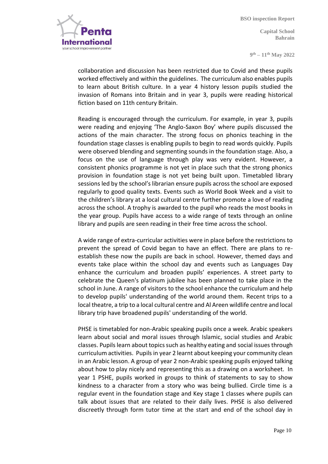nternatio your school improvement partner

**Capital School Bahrain** 

**9 th – 11th May 2022** 

collaboration and discussion has been restricted due to Covid and these pupils worked effectively and within the guidelines. The curriculum also enables pupils to learn about British culture. In a year 4 history lesson pupils studied the invasion of Romans into Britain and in year 3, pupils were reading historical fiction based on 11th century Britain.

Reading is encouraged through the curriculum. For example, in year 3, pupils were reading and enjoying 'The Anglo-Saxon Boy' where pupils discussed the actions of the main character. The strong focus on phonics teaching in the foundation stage classes is enabling pupils to begin to read words quickly. Pupils were observed blending and segmenting sounds in the foundation stage. Also, a focus on the use of language through play was very evident. However, a consistent phonics programme is not yet in place such that the strong phonics provision in foundation stage is not yet being built upon. Timetabled library sessions led by the school's librarian ensure pupils across the school are exposed regularly to good quality texts. Events such as World Book Week and a visit to the children's library at a local cultural centre further promote a love of reading across the school. A trophy is awarded to the pupil who reads the most books in the year group. Pupils have access to a wide range of texts through an online library and pupils are seen reading in their free time across the school.

A wide range of extra-curricular activities were in place before the restrictions to prevent the spread of Covid began to have an effect. There are plans to reestablish these now the pupils are back in school. However, themed days and events take place within the school day and events such as Languages Day enhance the curriculum and broaden pupils' experiences. A street party to celebrate the Queen's platinum jubilee has been planned to take place in the school in June. A range of visitors to the school enhance the curriculum and help to develop pupils' understanding of the world around them. Recent trips to a local theatre, a trip to a local cultural centre and Al Areen wildlife centre and local library trip have broadened pupils' understanding of the world.

PHSE is timetabled for non-Arabic speaking pupils once a week. Arabic speakers learn about social and moral issues through Islamic, social studies and Arabic classes. Pupils learn about topics such as healthy eating and social issues through curriculum activities. Pupils in year 2 learnt about keeping your community clean in an Arabic lesson. A group of year 2 non-Arabic speaking pupils enjoyed talking about how to play nicely and representing this as a drawing on a worksheet. In year 1 PSHE, pupils worked in groups to think of statements to say to show kindness to a character from a story who was being bullied. Circle time is a regular event in the foundation stage and Key stage 1 classes where pupils can talk about issues that are related to their daily lives. PHSE is also delivered discreetly through form tutor time at the start and end of the school day in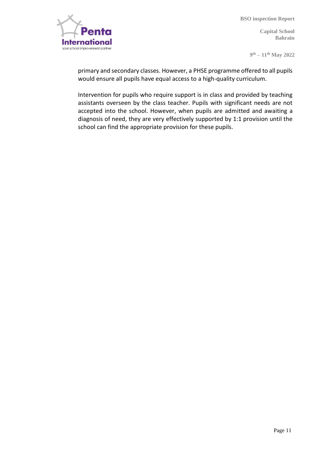

**Capital School Bahrain** 

**9 th – 11th May 2022** 

primary and secondary classes. However, a PHSE programme offered to all pupils would ensure all pupils have equal access to a high-quality curriculum.

Intervention for pupils who require support is in class and provided by teaching assistants overseen by the class teacher. Pupils with significant needs are not accepted into the school. However, when pupils are admitted and awaiting a diagnosis of need, they are very effectively supported by 1:1 provision until the school can find the appropriate provision for these pupils.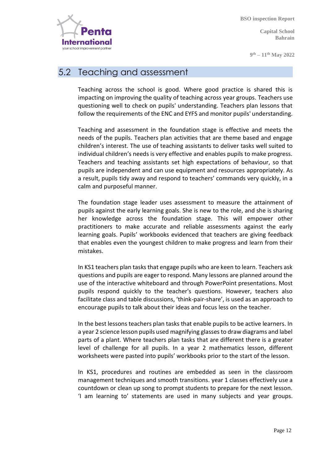Internatic your school improvement partne

**Capital School Bahrain** 

**9 th – 11th May 2022** 

#### 5.2 Teaching and assessment

Teaching across the school is good. Where good practice is shared this is impacting on improving the quality of teaching across year groups. Teachers use questioning well to check on pupils' understanding. Teachers plan lessons that follow the requirements of the ENC and EYFS and monitor pupils' understanding.

Teaching and assessment in the foundation stage is effective and meets the needs of the pupils. Teachers plan activities that are theme based and engage children's interest. The use of teaching assistants to deliver tasks well suited to individual children's needs is very effective and enables pupils to make progress. Teachers and teaching assistants set high expectations of behaviour, so that pupils are independent and can use equipment and resources appropriately. As a result, pupils tidy away and respond to teachers' commands very quickly, in a calm and purposeful manner.

The foundation stage leader uses assessment to measure the attainment of pupils against the early learning goals. She is new to the role, and she is sharing her knowledge across the foundation stage. This will empower other practitioners to make accurate and reliable assessments against the early learning goals. Pupils' workbooks evidenced that teachers are giving feedback that enables even the youngest children to make progress and learn from their mistakes.

In KS1 teachers plan tasks that engage pupils who are keen to learn. Teachers ask questions and pupils are eager to respond. Many lessons are planned around the use of the interactive whiteboard and through PowerPoint presentations. Most pupils respond quickly to the teacher's questions. However, teachers also facilitate class and table discussions, 'think-pair-share', is used as an approach to encourage pupils to talk about their ideas and focus less on the teacher.

In the best lessons teachers plan tasks that enable pupils to be active learners. In a year 2 science lesson pupils used magnifying glasses to draw diagrams and label parts of a plant. Where teachers plan tasks that are different there is a greater level of challenge for all pupils. In a year 2 mathematics lesson, different worksheets were pasted into pupils' workbooks prior to the start of the lesson.

In KS1, procedures and routines are embedded as seen in the classroom management techniques and smooth transitions. year 1 classes effectively use a countdown or clean up song to prompt students to prepare for the next lesson. 'I am learning to' statements are used in many subjects and year groups.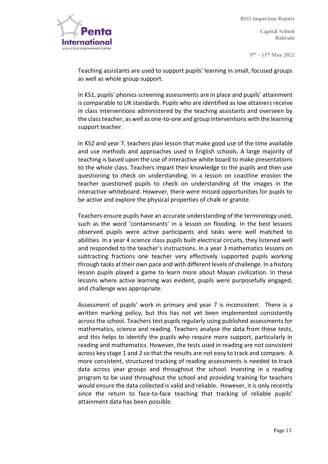

**Capital School Bahrain** 

**9 th – 11th May 2022** 

Teaching assistants are used to support pupils' learning in small, focused groups as well as whole group support.

In KS1, pupils' phonics screening assessments are in place and pupils' attainment is comparable to UK standards. Pupils who are identified as low attainers receive in class interventions administered by the teaching assistants and overseen by the class teacher, as well as one-to-one and group interventions with the learning support teacher.

In KS2 and year 7, teachers plan lesson that make good use of the time available and use methods and approaches used in English schools. A large majority of teaching is based upon the use of interactive white board to make presentations to the whole class. Teachers impart their knowledge to the pupils and then use questioning to check on understanding. In a lesson on coastline erosion the teacher questioned pupils to check on understanding of the images in the interactive whiteboard. However, there were missed opportunities for pupils to be active and explore the physical properties of chalk or granite.

Teachers ensure pupils have an accurate understanding of the terminology used, such as the word 'contaminants' in a lesson on flooding. In the best lessons observed pupils were active participants and tasks were well matched to abilities. In a year 4 science class pupils built electrical circuits, they listened well and responded to the teacher's instructions. In a year 3 mathematics lessons on subtracting fractions one teacher very effectively supported pupils working through tasks at their own pace and with different levels of challenge. In a history lesson pupils played a game to learn more about Mayan civilization. In these lessons where active learning was evident, pupils were purposefully engaged, and challenge was appropriate.

Assessment of pupils' work in primary and year 7 is inconsistent. There is a written marking policy, but this has not yet been implemented consistently across the school. Teachers test pupils regularly using published assessments for mathematics, science and reading. Teachers analyse the data from these tests, and this helps to identify the pupils who require more support, particularly in reading and mathematics. However, the tests used in reading are not consistent across key stage 1 and 2 so that the results are not easy to track and compare. A more consistent, structured tracking of reading assessments is needed to track data across year groups and throughout the school. Investing in a reading program to be used throughout the school and providing training for teachers would ensure the data collected is valid and reliable. However, it is only recently since the return to face-to-face teaching that tracking of reliable pupils' attainment data has been possible.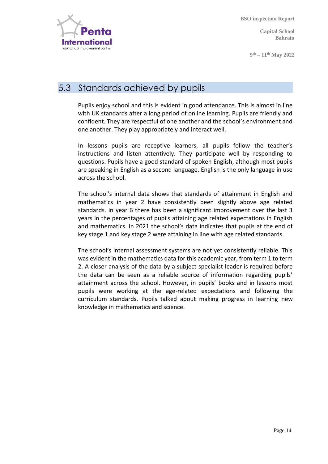nternatı your school improvement partne

**BSO inspection Report**

**Capital School Bahrain** 

**9 th – 11th May 2022** 

#### 5.3 Standards achieved by pupils

Pupils enjoy school and this is evident in good attendance. This is almost in line with UK standards after a long period of online learning. Pupils are friendly and confident. They are respectful of one another and the school's environment and one another. They play appropriately and interact well.

In lessons pupils are receptive learners, all pupils follow the teacher's instructions and listen attentively. They participate well by responding to questions. Pupils have a good standard of spoken English, although most pupils are speaking in English as a second language. English is the only language in use across the school.

The school's internal data shows that standards of attainment in English and mathematics in year 2 have consistently been slightly above age related standards. In year 6 there has been a significant improvement over the last 3 years in the percentages of pupils attaining age related expectations in English and mathematics. In 2021 the school's data indicates that pupils at the end of key stage 1 and key stage 2 were attaining in line with age related standards.

The school's internal assessment systems are not yet consistently reliable. This was evident in the mathematics data for this academic year, from term 1 to term 2. A closer analysis of the data by a subject specialist leader is required before the data can be seen as a reliable source of information regarding pupils' attainment across the school. However, in pupils' books and in lessons most pupils were working at the age-related expectations and following the curriculum standards. Pupils talked about making progress in learning new knowledge in mathematics and science.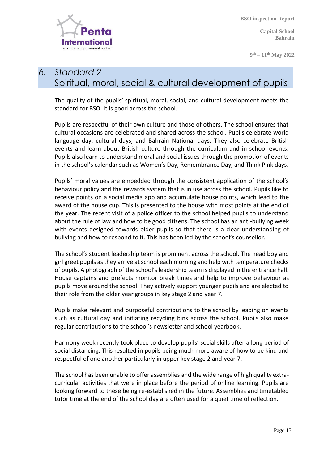

**Capital School Bahrain** 

**9 th – 11th May 2022** 

#### *6. Standard 2* Spiritual, moral, social & cultural development of pupils

The quality of the pupils' spiritual, moral, social, and cultural development meets the standard for BSO. It is good across the school.

Pupils are respectful of their own culture and those of others. The school ensures that cultural occasions are celebrated and shared across the school. Pupils celebrate world language day, cultural days, and Bahrain National days. They also celebrate British events and learn about British culture through the curriculum and in school events. Pupils also learn to understand moral and social issues through the promotion of events in the school's calendar such as Women's Day, Remembrance Day, and Think Pink days.

Pupils' moral values are embedded through the consistent application of the school's behaviour policy and the rewards system that is in use across the school. Pupils like to receive points on a social media app and accumulate house points, which lead to the award of the house cup. This is presented to the house with most points at the end of the year. The recent visit of a police officer to the school helped pupils to understand about the rule of law and how to be good citizens. The school has an anti-bullying week with events designed towards older pupils so that there is a clear understanding of bullying and how to respond to it. This has been led by the school's counsellor.

The school's student leadership team is prominent across the school. The head boy and girl greet pupils as they arrive at school each morning and help with temperature checks of pupils. A photograph of the school's leadership team is displayed in the entrance hall. House captains and prefects monitor break times and help to improve behaviour as pupils move around the school. They actively support younger pupils and are elected to their role from the older year groups in key stage 2 and year 7.

Pupils make relevant and purposeful contributions to the school by leading on events such as cultural day and initiating recycling bins across the school. Pupils also make regular contributions to the school's newsletter and school yearbook.

Harmony week recently took place to develop pupils' social skills after a long period of social distancing. This resulted in pupils being much more aware of how to be kind and respectful of one another particularly in upper key stage 2 and year 7.

The school has been unable to offer assemblies and the wide range of high quality extracurricular activities that were in place before the period of online learning. Pupils are looking forward to these being re-established in the future. Assemblies and timetabled tutor time at the end of the school day are often used for a quiet time of reflection.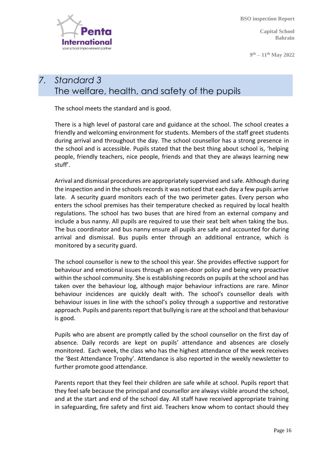

**Capital School Bahrain** 

**9 th – 11th May 2022** 

#### *7. Standard 3* The welfare, health, and safety of the pupils

The school meets the standard and is good.

There is a high level of pastoral care and guidance at the school. The school creates a friendly and welcoming environment for students. Members of the staff greet students during arrival and throughout the day. The school counsellor has a strong presence in the school and is accessible. Pupils stated that the best thing about school is, 'helping people, friendly teachers, nice people, friends and that they are always learning new stuff'.

Arrival and dismissal procedures are appropriately supervised and safe. Although during the inspection and in the schools records it was noticed that each day a few pupils arrive late. A security guard monitors each of the two perimeter gates. Every person who enters the school premises has their temperature checked as required by local health regulations. The school has two buses that are hired from an external company and include a bus nanny. All pupils are required to use their seat belt when taking the bus. The bus coordinator and bus nanny ensure all pupils are safe and accounted for during arrival and dismissal. Bus pupils enter through an additional entrance, which is monitored by a security guard.

The school counsellor is new to the school this year. She provides effective support for behaviour and emotional issues through an open-door policy and being very proactive within the school community. She is establishing records on pupils at the school and has taken over the behaviour log, although major behaviour infractions are rare. Minor behaviour incidences are quickly dealt with. The school's counsellor deals with behaviour issues in line with the school's policy through a supportive and restorative approach. Pupils and parents report that bullying is rare at the school and that behaviour is good.

Pupils who are absent are promptly called by the school counsellor on the first day of absence. Daily records are kept on pupils' attendance and absences are closely monitored. Each week, the class who has the highest attendance of the week receives the 'Best Attendance Trophy'. Attendance is also reported in the weekly newsletter to further promote good attendance.

Parents report that they feel their children are safe while at school. Pupils report that they feel safe because the principal and counsellor are always visible around the school, and at the start and end of the school day. All staff have received appropriate training in safeguarding, fire safety and first aid. Teachers know whom to contact should they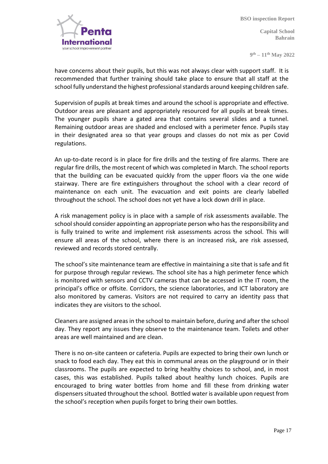

**Capital School Bahrain** 

**9 th – 11th May 2022** 

have concerns about their pupils, but this was not always clear with support staff. It is recommended that further training should take place to ensure that all staff at the school fully understand the highest professional standards around keeping children safe.

Supervision of pupils at break times and around the school is appropriate and effective. Outdoor areas are pleasant and appropriately resourced for all pupils at break times. The younger pupils share a gated area that contains several slides and a tunnel. Remaining outdoor areas are shaded and enclosed with a perimeter fence. Pupils stay in their designated area so that year groups and classes do not mix as per Covid regulations.

An up-to-date record is in place for fire drills and the testing of fire alarms. There are regular fire drills, the most recent of which was completed in March. The school reports that the building can be evacuated quickly from the upper floors via the one wide stairway. There are fire extinguishers throughout the school with a clear record of maintenance on each unit. The evacuation and exit points are clearly labelled throughout the school. The school does not yet have a lock down drill in place.

A risk management policy is in place with a sample of risk assessments available. The school should consider appointing an appropriate person who has the responsibility and is fully trained to write and implement risk assessments across the school. This will ensure all areas of the school, where there is an increased risk, are risk assessed, reviewed and records stored centrally.

The school's site maintenance team are effective in maintaining a site that is safe and fit for purpose through regular reviews. The school site has a high perimeter fence which is monitored with sensors and CCTV cameras that can be accessed in the IT room, the principal's office or offsite. Corridors, the science laboratories, and ICT laboratory are also monitored by cameras. Visitors are not required to carry an identity pass that indicates they are visitors to the school.

Cleaners are assigned areas in the school to maintain before, during and after the school day. They report any issues they observe to the maintenance team. Toilets and other areas are well maintained and are clean.

There is no on-site canteen or cafeteria. Pupils are expected to bring their own lunch or snack to food each day. They eat this in communal areas on the playground or in their classrooms. The pupils are expected to bring healthy choices to school, and, in most cases, this was established. Pupils talked about healthy lunch choices. Pupils are encouraged to bring water bottles from home and fill these from drinking water dispensers situated throughout the school. Bottled water is available upon request from the school's reception when pupils forget to bring their own bottles.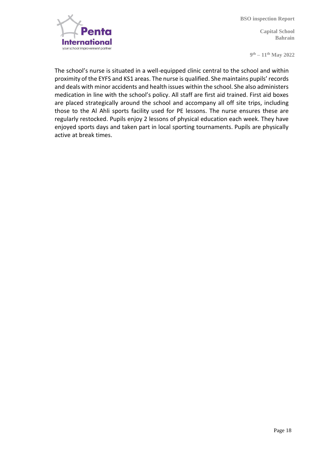

**Capital School Bahrain** 

**9 th – 11th May 2022** 

The school's nurse is situated in a well-equipped clinic central to the school and within proximity of the EYFS and KS1 areas. The nurse is qualified. She maintains pupils' records and deals with minor accidents and health issues within the school. She also administers medication in line with the school's policy. All staff are first aid trained. First aid boxes are placed strategically around the school and accompany all off site trips, including those to the Al Ahli sports facility used for PE lessons. The nurse ensures these are regularly restocked. Pupils enjoy 2 lessons of physical education each week. They have enjoyed sports days and taken part in local sporting tournaments. Pupils are physically active at break times.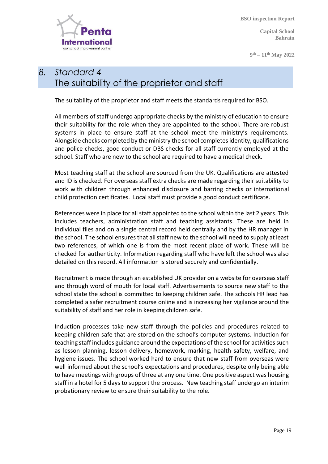**Capital School Bahrain** 

**9 th – 11th May 2022** 



#### *8. Standard 4* The suitability of the proprietor and staff

The suitability of the proprietor and staff meets the standards required for BSO.

All members of staff undergo appropriate checks by the ministry of education to ensure their suitability for the role when they are appointed to the school. There are robust systems in place to ensure staff at the school meet the ministry's requirements. Alongside checks completed by the ministry the school completes identity, qualifications and police checks, good conduct or DBS checks for all staff currently employed at the school. Staff who are new to the school are required to have a medical check.

Most teaching staff at the school are sourced from the UK. Qualifications are attested and ID is checked. For overseas staff extra checks are made regarding their suitability to work with children through enhanced disclosure and barring checks or international child protection certificates. Local staff must provide a good conduct certificate.

References were in place for all staff appointed to the school within the last 2 years. This includes teachers, administration staff and teaching assistants. These are held in individual files and on a single central record held centrally and by the HR manager in the school. The school ensures that all staff new to the school will need to supply at least two references, of which one is from the most recent place of work. These will be checked for authenticity. Information regarding staff who have left the school was also detailed on this record. All information is stored securely and confidentially.

Recruitment is made through an established UK provider on a website for overseas staff and through word of mouth for local staff. Advertisements to source new staff to the school state the school is committed to keeping children safe. The schools HR lead has completed a safer recruitment course online and is increasing her vigilance around the suitability of staff and her role in keeping children safe.

Induction processes take new staff through the policies and procedures related to keeping children safe that are stored on the school's computer systems. Induction for teaching staff includes guidance around the expectations of the school for activities such as lesson planning, lesson delivery, homework, marking, health safety, welfare, and hygiene issues. The school worked hard to ensure that new staff from overseas were well informed about the school's expectations and procedures, despite only being able to have meetings with groups of three at any one time. One positive aspect was housing staff in a hotel for 5 days to support the process. New teaching staff undergo an interim probationary review to ensure their suitability to the role.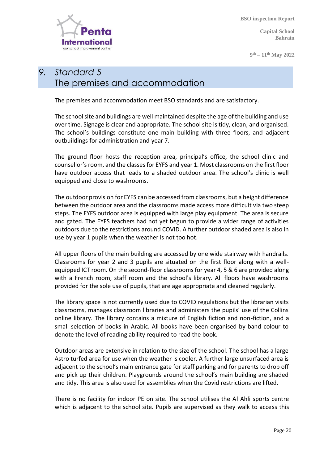

**9 th – 11th May 2022** 



#### *9. Standard 5* The premises and accommodation

The premises and accommodation meet BSO standards and are satisfactory.

The school site and buildings are well maintained despite the age of the building and use over time. Signage is clear and appropriate. The school site is tidy, clean, and organised. The school's buildings constitute one main building with three floors, and adjacent outbuildings for administration and year 7.

The ground floor hosts the reception area, principal's office, the school clinic and counsellor's room, and the classes for EYFS and year 1. Most classrooms on the first floor have outdoor access that leads to a shaded outdoor area. The school's clinic is well equipped and close to washrooms.

The outdoor provision for EYFS can be accessed from classrooms, but a height difference between the outdoor area and the classrooms made access more difficult via two steep steps. The EYFS outdoor area is equipped with large play equipment. The area is secure and gated. The EYFS teachers had not yet begun to provide a wider range of activities outdoors due to the restrictions around COVID. A further outdoor shaded area is also in use by year 1 pupils when the weather is not too hot.

All upper floors of the main building are accessed by one wide stairway with handrails. Classrooms for year 2 and 3 pupils are situated on the first floor along with a wellequipped ICT room. On the second-floor classrooms for year 4, 5 & 6 are provided along with a French room, staff room and the school's library. All floors have washrooms provided for the sole use of pupils, that are age appropriate and cleaned regularly.

The library space is not currently used due to COVID regulations but the librarian visits classrooms, manages classroom libraries and administers the pupils' use of the Collins online library. The library contains a mixture of English fiction and non-fiction, and a small selection of books in Arabic. All books have been organised by band colour to denote the level of reading ability required to read the book.

Outdoor areas are extensive in relation to the size of the school. The school has a large Astro turfed area for use when the weather is cooler. A further large unsurfaced area is adjacent to the school's main entrance gate for staff parking and for parents to drop off and pick up their children. Playgrounds around the school's main building are shaded and tidy. This area is also used for assemblies when the Covid restrictions are lifted.

There is no facility for indoor PE on site. The school utilises the Al Ahli sports centre which is adjacent to the school site. Pupils are supervised as they walk to access this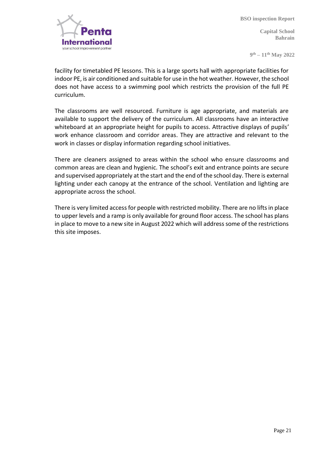

**Capital School Bahrain** 

**9 th – 11th May 2022** 

facility for timetabled PE lessons. This is a large sports hall with appropriate facilities for indoor PE, is air conditioned and suitable for use in the hot weather. However, the school does not have access to a swimming pool which restricts the provision of the full PE curriculum.

The classrooms are well resourced. Furniture is age appropriate, and materials are available to support the delivery of the curriculum. All classrooms have an interactive whiteboard at an appropriate height for pupils to access. Attractive displays of pupils' work enhance classroom and corridor areas. They are attractive and relevant to the work in classes or display information regarding school initiatives.

There are cleaners assigned to areas within the school who ensure classrooms and common areas are clean and hygienic. The school's exit and entrance points are secure and supervised appropriately at the start and the end of the school day. There is external lighting under each canopy at the entrance of the school. Ventilation and lighting are appropriate across the school.

There is very limited access for people with restricted mobility. There are no lifts in place to upper levels and a ramp is only available for ground floor access. The school has plans in place to move to a new site in August 2022 which will address some of the restrictions this site imposes.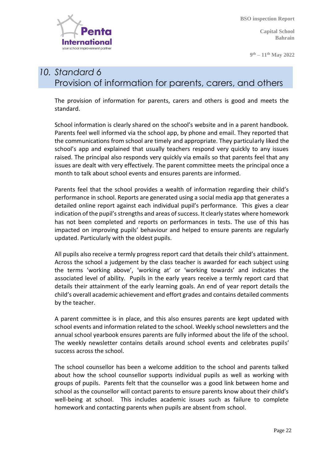

**Capital School Bahrain** 

**9 th – 11th May 2022** 

#### *10. Standard 6* Provision of information for parents, carers, and others

The provision of information for parents, carers and others is good and meets the standard.

School information is clearly shared on the school's website and in a parent handbook. Parents feel well informed via the school app, by phone and email. They reported that the communications from school are timely and appropriate. They particularly liked the school's app and explained that usually teachers respond very quickly to any issues raised. The principal also responds very quickly via emails so that parents feel that any issues are dealt with very effectively. The parent committee meets the principal once a month to talk about school events and ensures parents are informed.

Parents feel that the school provides a wealth of information regarding their child's performance in school. Reports are generated using a social media app that generates a detailed online report against each individual pupil's performance. This gives a clear indication of the pupil's strengths and areas of success. It clearly states where homework has not been completed and reports on performances in tests. The use of this has impacted on improving pupils' behaviour and helped to ensure parents are regularly updated. Particularly with the oldest pupils.

All pupils also receive a termly progress report card that details their child's attainment. Across the school a judgement by the class teacher is awarded for each subject using the terms 'working above', 'working at' or 'working towards' and indicates the associated level of ability. Pupils in the early years receive a termly report card that details their attainment of the early learning goals. An end of year report details the child's overall academic achievement and effort grades and contains detailed comments by the teacher.

A parent committee is in place, and this also ensures parents are kept updated with school events and information related to the school. Weekly school newsletters and the annual school yearbook ensures parents are fully informed about the life of the school. The weekly newsletter contains details around school events and celebrates pupils' success across the school.

The school counsellor has been a welcome addition to the school and parents talked about how the school counsellor supports individual pupils as well as working with groups of pupils. Parents felt that the counsellor was a good link between home and school as the counsellor will contact parents to ensure parents know about their child's well-being at school. This includes academic issues such as failure to complete homework and contacting parents when pupils are absent from school.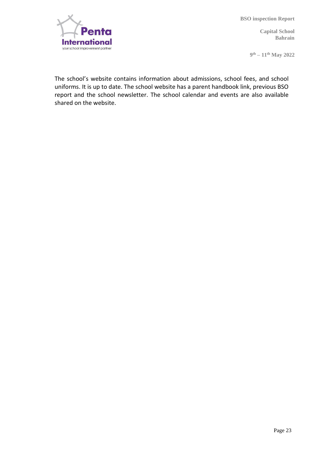

**Capital School Bahrain** 

**9 th – 11th May 2022** 

The school's website contains information about admissions, school fees, and school uniforms. It is up to date. The school website has a parent handbook link, previous BSO report and the school newsletter. The school calendar and events are also available shared on the website.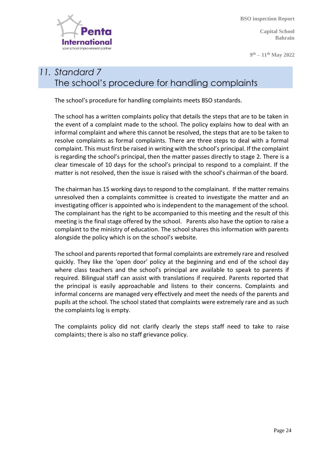**Capital School Bahrain** 

**9 th – 11th May 2022** 



#### *11. Standard 7* The school's procedure for handling complaints

The school's procedure for handling complaints meets BSO standards.

The school has a written complaints policy that details the steps that are to be taken in the event of a complaint made to the school. The policy explains how to deal with an informal complaint and where this cannot be resolved, the steps that are to be taken to resolve complaints as formal complaints. There are three steps to deal with a formal complaint. This must first be raised in writing with the school's principal. If the complaint is regarding the school's principal, then the matter passes directly to stage 2. There is a clear timescale of 10 days for the school's principal to respond to a complaint. If the matter is not resolved, then the issue is raised with the school's chairman of the board.

The chairman has 15 working days to respond to the complainant. If the matter remains unresolved then a complaints committee is created to investigate the matter and an investigating officer is appointed who is independent to the management of the school. The complainant has the right to be accompanied to this meeting and the result of this meeting is the final stage offered by the school. Parents also have the option to raise a complaint to the ministry of education. The school shares this information with parents alongside the policy which is on the school's website.

The school and parents reported that formal complaints are extremely rare and resolved quickly. They like the 'open door' policy at the beginning and end of the school day where class teachers and the school's principal are available to speak to parents if required. Bilingual staff can assist with translations if required. Parents reported that the principal is easily approachable and listens to their concerns. Complaints and informal concerns are managed very effectively and meet the needs of the parents and pupils at the school. The school stated that complaints were extremely rare and as such the complaints log is empty.

The complaints policy did not clarify clearly the steps staff need to take to raise complaints; there is also no staff grievance policy.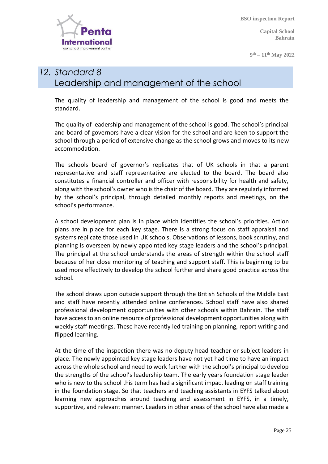**Capital School Bahrain** 

**9 th – 11th May 2022** 



#### *12. Standard 8* Leadership and management of the school

The quality of leadership and management of the school is good and meets the standard.

The quality of leadership and management of the school is good. The school's principal and board of governors have a clear vision for the school and are keen to support the school through a period of extensive change as the school grows and moves to its new accommodation.

The schools board of governor's replicates that of UK schools in that a parent representative and staff representative are elected to the board. The board also constitutes a financial controller and officer with responsibility for health and safety, along with the school's owner who is the chair of the board. They are regularly informed by the school's principal, through detailed monthly reports and meetings, on the school's performance.

A school development plan is in place which identifies the school's priorities. Action plans are in place for each key stage. There is a strong focus on staff appraisal and systems replicate those used in UK schools. Observations of lessons, book scrutiny, and planning is overseen by newly appointed key stage leaders and the school's principal. The principal at the school understands the areas of strength within the school staff because of her close monitoring of teaching and support staff. This is beginning to be used more effectively to develop the school further and share good practice across the school.

The school draws upon outside support through the British Schools of the Middle East and staff have recently attended online conferences. School staff have also shared professional development opportunities with other schools within Bahrain. The staff have access to an online resource of professional development opportunities along with weekly staff meetings. These have recently led training on planning, report writing and flipped learning.

At the time of the inspection there was no deputy head teacher or subject leaders in place. The newly appointed key stage leaders have not yet had time to have an impact across the whole school and need to work further with the school's principal to develop the strengths of the school's leadership team. The early years foundation stage leader who is new to the school this term has had a significant impact leading on staff training in the foundation stage. So that teachers and teaching assistants in EYFS talked about learning new approaches around teaching and assessment in EYFS, in a timely, supportive, and relevant manner. Leaders in other areas of the school have also made a